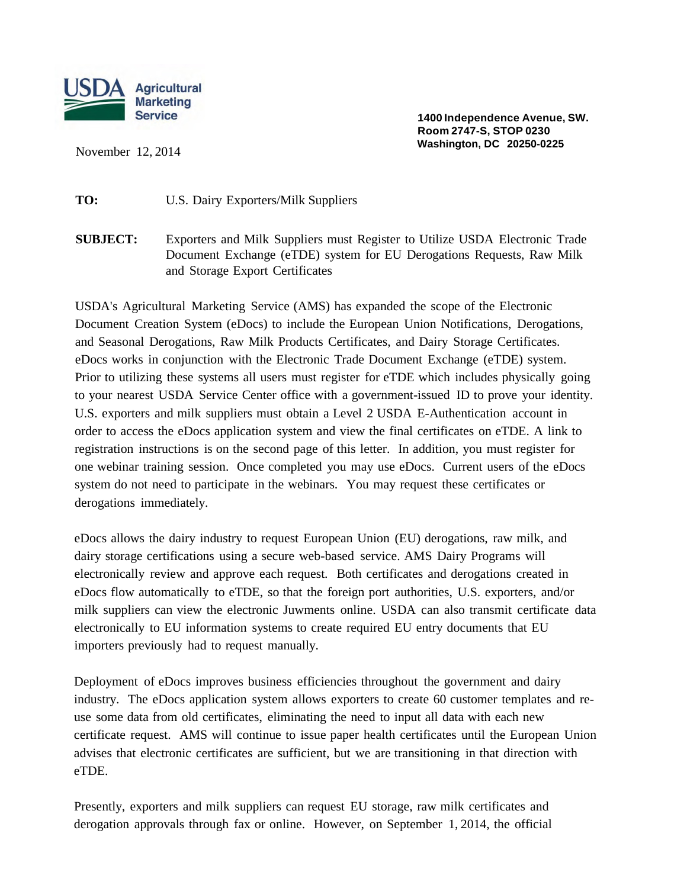

November 12, 2014

**1400 Independence Avenue, SW. Room 2747-S, STOP 0230 Washington, DC 20250-0225**

**TO:** U.S. Dairy Exporters/Milk Suppliers

**SUBJECT:** Exporters and Milk Suppliers must Register to Utilize USDA Electronic Trade Document Exchange (eTDE) system for EU Derogations Requests, Raw Milk and Storage Export Certificates

USDA's Agricultural Marketing Service (AMS) has expanded the scope of the Electronic Document Creation System (eDocs) to include the European Union Notifications, Derogations, and Seasonal Derogations, Raw Milk Products Certificates, and Dairy Storage Certificates. eDocs works in conjunction with the Electronic Trade Document Exchange (eTDE) system. Prior to utilizing these systems all users must register for eTDE which includes physically going to your nearest USDA Service Center office with a government-issued ID to prove your identity. U.S. exporters and milk suppliers must obtain a Level 2 USDA E-Authentication account in order to access the eDocs application system and view the final certificates on eTDE. A link to registration instructions is on the second page of this letter. In addition, you must register for one webinar training session. Once completed you may use eDocs. Current users of the eDocs system do not need to participate in the webinars. You may request these certificates or derogations immediately.

eDocs allows the dairy industry to request European Union (EU) derogations, raw milk, and dairy storage certifications using a secure web-based service. AMS Dairy Programs will electronically review and approve each request. Both certificates and derogations created in eDocs flow automatically to eTDE, so that the foreign port authorities, U.S. exporters, and/or milk suppliers can view the electronic Juwments online. USDA can also transmit certificate data electronically to EU information systems to create required EU entry documents that EU importers previously had to request manually.

Deployment of eDocs improves business efficiencies throughout the government and dairy industry. The eDocs application system allows exporters to create 60 customer templates and reuse some data from old certificates, eliminating the need to input all data with each new certificate request. AMS will continue to issue paper health certificates until the European Union advises that electronic certificates are sufficient, but we are transitioning in that direction with eTDE.

Presently, exporters and milk suppliers can request EU storage, raw milk certificates and derogation approvals through fax or online. However, on September 1, 2014, the official